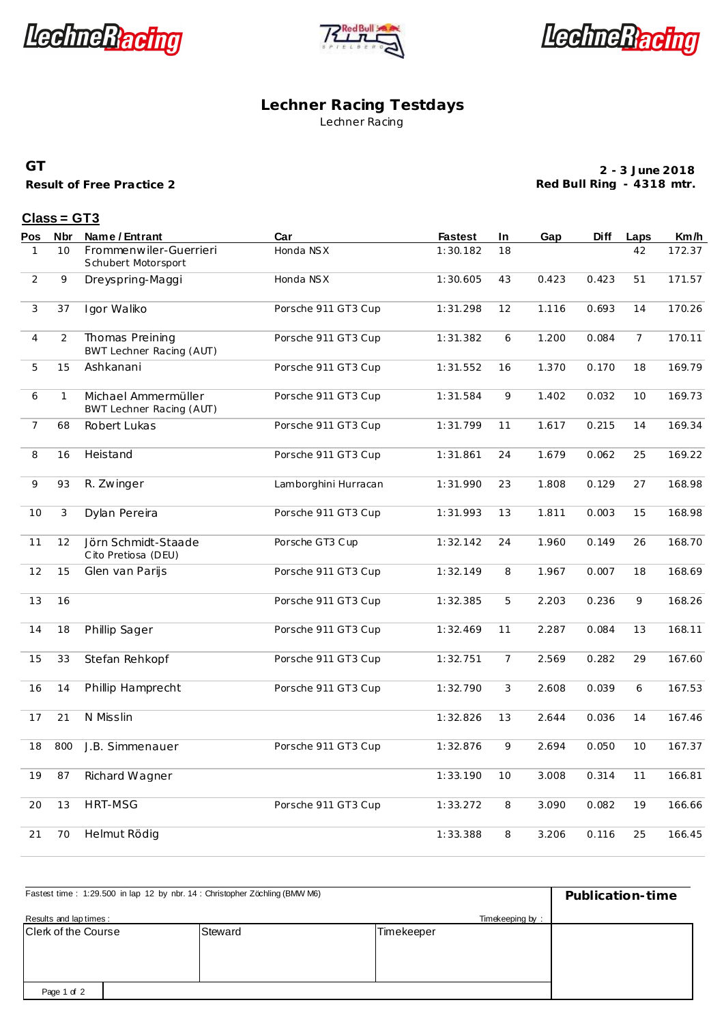





#### **Lechner Racing Testdays** Lechner Racing

#### **GT**

**Result of Free Practice 2**

**2 - 3 June 2018 Red Bull Ring - 4318 mtr.**

### **Class = GT3**

| <u>Pos</u>     | Nbr            | Name / Entrant                                  | Car                  | <b>Fastest</b> | In             | Gap   | Diff  | Laps           | Km/h   |
|----------------|----------------|-------------------------------------------------|----------------------|----------------|----------------|-------|-------|----------------|--------|
| $\mathbf{1}$   | 10             | Frommenwiler-Guerrieri<br>Schubert Motorsport   | Honda NSX            | 1:30.182       | 18             |       |       | 42             | 172.37 |
| 2              | 9              | Dreyspring-Maggi                                | Honda NSX            | 1:30.605       | 43             | 0.423 | 0.423 | 51             | 171.57 |
| 3              | 37             | Igor Waliko                                     | Porsche 911 GT3 Cup  | 1:31.298       | 12             | 1.116 | 0.693 | 14             | 170.26 |
| $\overline{4}$ | $\overline{2}$ | Thomas Preining<br>BWT Lechner Racing (AUT)     | Porsche 911 GT3 Cup  | 1:31.382       | 6              | 1.200 | 0.084 | $\overline{7}$ | 170.11 |
| 5              | 15             | Ashkanani                                       | Porsche 911 GT3 Cup  | 1:31.552       | 16             | 1.370 | 0.170 | 18             | 169.79 |
| 6              | $\mathbf{1}$   | Michael Ammermüller<br>BWT Lechner Racing (AUT) | Porsche 911 GT3 Cup  | 1:31.584       | 9              | 1.402 | 0.032 | 10             | 169.73 |
| 7              | 68             | Robert Lukas                                    | Porsche 911 GT3 Cup  | 1:31.799       | 11             | 1.617 | 0.215 | 14             | 169.34 |
| 8              | 16             | Heistand                                        | Porsche 911 GT3 Cup  | 1:31.861       | 24             | 1.679 | 0.062 | 25             | 169.22 |
| 9              | 93             | R. Zwinger                                      | Lamborghini Hurracan | 1:31.990       | 23             | 1.808 | 0.129 | 27             | 168.98 |
| 10             | 3              | Dylan Pereira                                   | Porsche 911 GT3 Cup  | 1:31.993       | 13             | 1.811 | 0.003 | 15             | 168.98 |
| 11             | 12             | Jörn Schmidt-Staade<br>Cito Pretiosa (DEU)      | Porsche GT3 Cup      | 1:32.142       | 24             | 1.960 | 0.149 | 26             | 168.70 |
| 12             | 15             | Glen van Parijs                                 | Porsche 911 GT3 Cup  | 1:32.149       | 8              | 1.967 | 0.007 | 18             | 168.69 |
| 13             | 16             |                                                 | Porsche 911 GT3 Cup  | 1:32.385       | 5              | 2.203 | 0.236 | 9              | 168.26 |
| 14             | 18             | Phillip Sager                                   | Porsche 911 GT3 Cup  | 1:32.469       | 11             | 2.287 | 0.084 | 13             | 168.11 |
| 15             | 33             | Stefan Rehkopf                                  | Porsche 911 GT3 Cup  | 1:32.751       | $\overline{7}$ | 2.569 | 0.282 | 29             | 167.60 |
| 16             | 14             | Phillip Hamprecht                               | Porsche 911 GT3 Cup  | 1:32.790       | 3              | 2.608 | 0.039 | 6              | 167.53 |
| 17             | 21             | N Misslin                                       |                      | 1:32.826       | 13             | 2.644 | 0.036 | 14             | 167.46 |
| 18             | 800            | J.B. Simmenauer                                 | Porsche 911 GT3 Cup  | 1:32.876       | 9              | 2.694 | 0.050 | 10             | 167.37 |
| 19             | 87             | Richard Wagner                                  |                      | 1:33.190       | 10             | 3.008 | 0.314 | 11             | 166.81 |
| 20             | 13             | <b>HRT-MSG</b>                                  | Porsche 911 GT3 Cup  | 1:33.272       | 8              | 3.090 | 0.082 | 19             | 166.66 |
| 21             | 70             | Helmut Rödig                                    |                      | 1:33.388       | 8              | 3.206 | 0.116 | 25             | 166.45 |

| Fastest time: 1:29.500 in lap 12 by nbr. 14: Christopher Zöchling (BMW M6) | Publication-time |            |  |
|----------------------------------------------------------------------------|------------------|------------|--|
| Results and lap times:                                                     |                  |            |  |
| Clerk of the Course                                                        | Steward          | Timekeeper |  |
|                                                                            |                  |            |  |
|                                                                            |                  |            |  |
|                                                                            |                  |            |  |
| Page 1 of 2                                                                |                  |            |  |